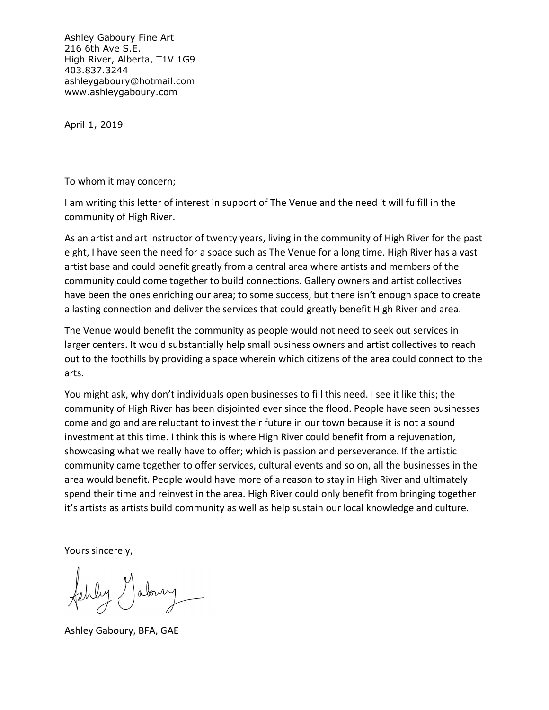Ashley Gaboury Fine Art 216 6th Ave S.E. High River, Alberta, T1V 1G9 403.837.3244 ashleygaboury@hotmail.com www.ashleygaboury.com

April 1, 2019

To whom it may concern;

I am writing this letter of interest in support of The Venue and the need it will fulfill in the community of High River.

As an artist and art instructor of twenty years, living in the community of High River for the past eight, I have seen the need for a space such as The Venue for a long time. High River has a vast artist base and could benefit greatly from a central area where artists and members of the community could come together to build connections. Gallery owners and artist collectives have been the ones enriching our area; to some success, but there isn't enough space to create a lasting connection and deliver the services that could greatly benefit High River and area.

The Venue would benefit the community as people would not need to seek out services in larger centers. It would substantially help small business owners and artist collectives to reach out to the foothills by providing a space wherein which citizens of the area could connect to the arts.

You might ask, why don't individuals open businesses to fill this need. I see it like this; the community of High River has been disjointed ever since the flood. People have seen businesses come and go and are reluctant to invest their future in our town because it is not a sound investment at this time. I think this is where High River could benefit from a rejuvenation, showcasing what we really have to offer; which is passion and perseverance. If the artistic community came together to offer services, cultural events and so on, all the businesses in the area would benefit. People would have more of a reason to stay in High River and ultimately spend their time and reinvest in the area. High River could only benefit from bringing together it's artists as artists build community as well as help sustain our local knowledge and culture.

Yours sincerely,

aboury

Ashley Gaboury, BFA, GAE